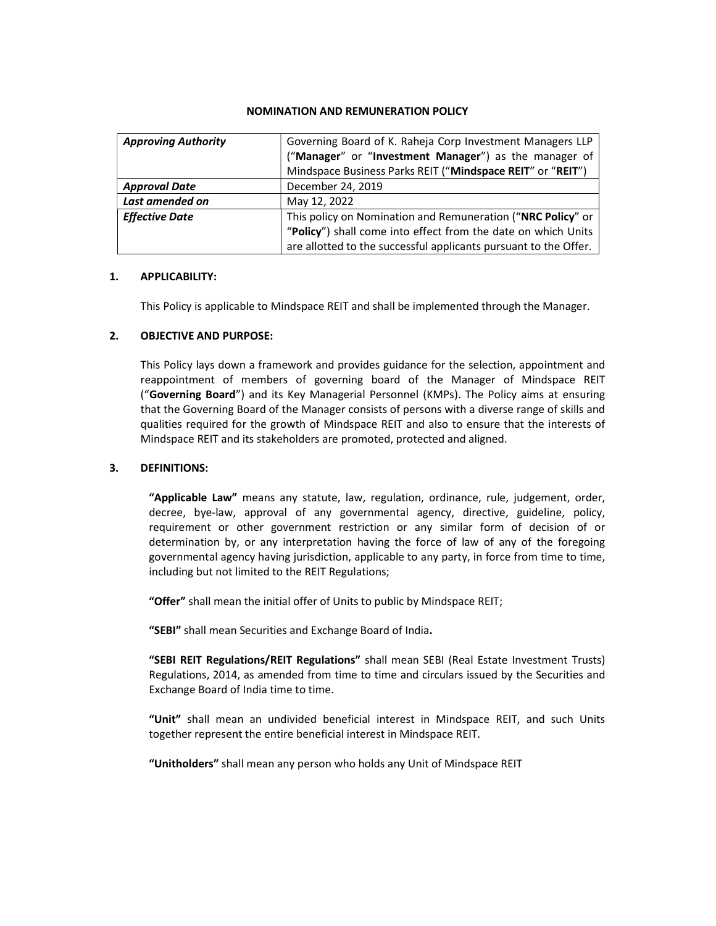### NOMINATION AND REMUNERATION POLICY

| <b>Approving Authority</b> | Governing Board of K. Raheja Corp Investment Managers LLP<br>("Manager" or "Investment Manager") as the manager of                                                                               |
|----------------------------|--------------------------------------------------------------------------------------------------------------------------------------------------------------------------------------------------|
|                            | Mindspace Business Parks REIT ("Mindspace REIT" or "REIT")                                                                                                                                       |
| <b>Approval Date</b>       | December 24, 2019                                                                                                                                                                                |
| Last amended on            | May 12, 2022                                                                                                                                                                                     |
| <b>Effective Date</b>      | This policy on Nomination and Remuneration ("NRC Policy" or<br>"Policy") shall come into effect from the date on which Units<br>are allotted to the successful applicants pursuant to the Offer. |

## 1. APPLICABILITY:

This Policy is applicable to Mindspace REIT and shall be implemented through the Manager.

## 2. OBJECTIVE AND PURPOSE:

This Policy lays down a framework and provides guidance for the selection, appointment and reappointment of members of governing board of the Manager of Mindspace REIT ("Governing Board") and its Key Managerial Personnel (KMPs). The Policy aims at ensuring that the Governing Board of the Manager consists of persons with a diverse range of skills and qualities required for the growth of Mindspace REIT and also to ensure that the interests of Mindspace REIT and its stakeholders are promoted, protected and aligned.

### 3. DEFINITIONS:

"Applicable Law" means any statute, law, regulation, ordinance, rule, judgement, order, decree, bye-law, approval of any governmental agency, directive, guideline, policy, requirement or other government restriction or any similar form of decision of or determination by, or any interpretation having the force of law of any of the foregoing governmental agency having jurisdiction, applicable to any party, in force from time to time, including but not limited to the REIT Regulations;

"Offer" shall mean the initial offer of Units to public by Mindspace REIT;

"SEBI" shall mean Securities and Exchange Board of India.

"SEBI REIT Regulations/REIT Regulations" shall mean SEBI (Real Estate Investment Trusts) Regulations, 2014, as amended from time to time and circulars issued by the Securities and Exchange Board of India time to time.

"Unit" shall mean an undivided beneficial interest in Mindspace REIT, and such Units together represent the entire beneficial interest in Mindspace REIT.

"Unitholders" shall mean any person who holds any Unit of Mindspace REIT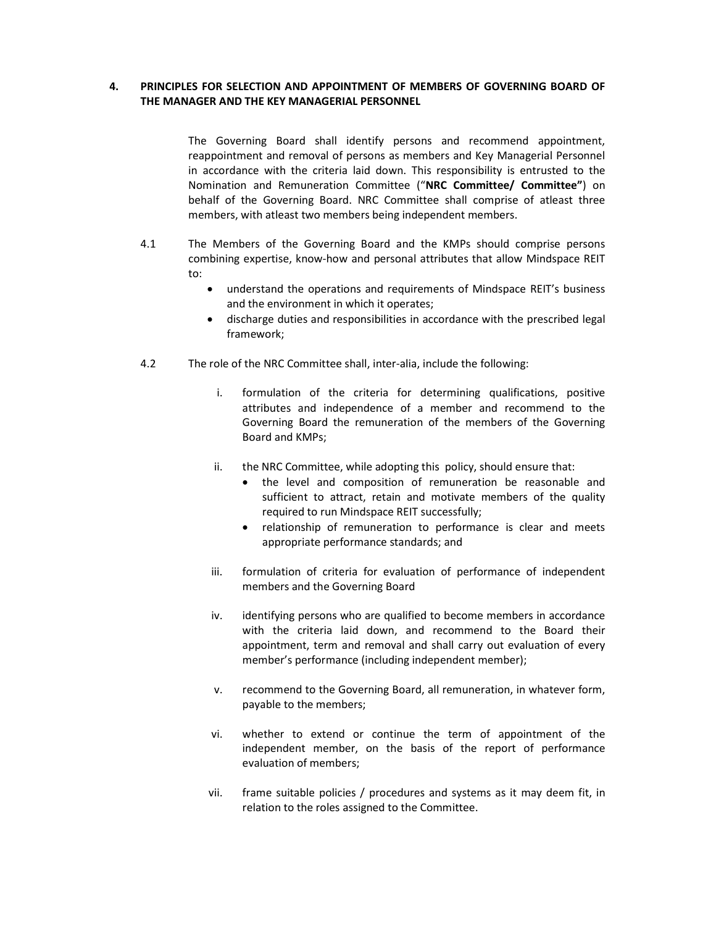# 4. PRINCIPLES FOR SELECTION AND APPOINTMENT OF MEMBERS OF GOVERNING BOARD OF THE MANAGER AND THE KEY MANAGERIAL PERSONNEL

The Governing Board shall identify persons and recommend appointment, reappointment and removal of persons as members and Key Managerial Personnel in accordance with the criteria laid down. This responsibility is entrusted to the Nomination and Remuneration Committee ("NRC Committee/ Committee") on behalf of the Governing Board. NRC Committee shall comprise of atleast three members, with atleast two members being independent members.

- 4.1 The Members of the Governing Board and the KMPs should comprise persons combining expertise, know-how and personal attributes that allow Mindspace REIT to:
	- understand the operations and requirements of Mindspace REIT's business and the environment in which it operates;
	- discharge duties and responsibilities in accordance with the prescribed legal framework;
- 4.2 The role of the NRC Committee shall, inter-alia, include the following:
	- i. formulation of the criteria for determining qualifications, positive attributes and independence of a member and recommend to the Governing Board the remuneration of the members of the Governing Board and KMPs;
	- ii. the NRC Committee, while adopting this policy, should ensure that:
		- the level and composition of remuneration be reasonable and sufficient to attract, retain and motivate members of the quality required to run Mindspace REIT successfully;
		- relationship of remuneration to performance is clear and meets appropriate performance standards; and
	- iii. formulation of criteria for evaluation of performance of independent members and the Governing Board
	- iv. identifying persons who are qualified to become members in accordance with the criteria laid down, and recommend to the Board their appointment, term and removal and shall carry out evaluation of every member's performance (including independent member);
	- v. recommend to the Governing Board, all remuneration, in whatever form, payable to the members;
	- vi. whether to extend or continue the term of appointment of the independent member, on the basis of the report of performance evaluation of members;
	- vii. frame suitable policies / procedures and systems as it may deem fit, in relation to the roles assigned to the Committee.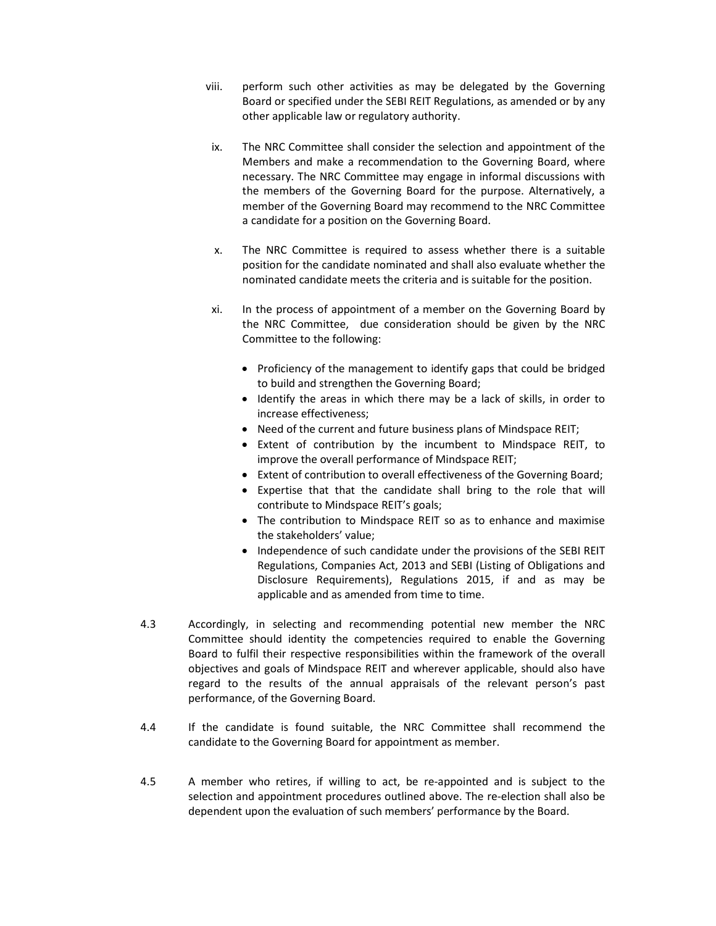- viii. perform such other activities as may be delegated by the Governing Board or specified under the SEBI REIT Regulations, as amended or by any other applicable law or regulatory authority.
- ix. The NRC Committee shall consider the selection and appointment of the Members and make a recommendation to the Governing Board, where necessary. The NRC Committee may engage in informal discussions with the members of the Governing Board for the purpose. Alternatively, a member of the Governing Board may recommend to the NRC Committee a candidate for a position on the Governing Board.
- x. The NRC Committee is required to assess whether there is a suitable position for the candidate nominated and shall also evaluate whether the nominated candidate meets the criteria and is suitable for the position.
- xi. In the process of appointment of a member on the Governing Board by the NRC Committee, due consideration should be given by the NRC Committee to the following:
	- Proficiency of the management to identify gaps that could be bridged to build and strengthen the Governing Board;
	- Identify the areas in which there may be a lack of skills, in order to increase effectiveness;
	- Need of the current and future business plans of Mindspace REIT;
	- Extent of contribution by the incumbent to Mindspace REIT, to improve the overall performance of Mindspace REIT;
	- Extent of contribution to overall effectiveness of the Governing Board;
	- Expertise that that the candidate shall bring to the role that will contribute to Mindspace REIT's goals;
	- The contribution to Mindspace REIT so as to enhance and maximise the stakeholders' value;
	- Independence of such candidate under the provisions of the SEBI REIT Regulations, Companies Act, 2013 and SEBI (Listing of Obligations and Disclosure Requirements), Regulations 2015, if and as may be applicable and as amended from time to time.
- 4.3 Accordingly, in selecting and recommending potential new member the NRC Committee should identity the competencies required to enable the Governing Board to fulfil their respective responsibilities within the framework of the overall objectives and goals of Mindspace REIT and wherever applicable, should also have regard to the results of the annual appraisals of the relevant person's past performance, of the Governing Board.
- 4.4 If the candidate is found suitable, the NRC Committee shall recommend the candidate to the Governing Board for appointment as member.
- 4.5 A member who retires, if willing to act, be re-appointed and is subject to the selection and appointment procedures outlined above. The re-election shall also be dependent upon the evaluation of such members' performance by the Board.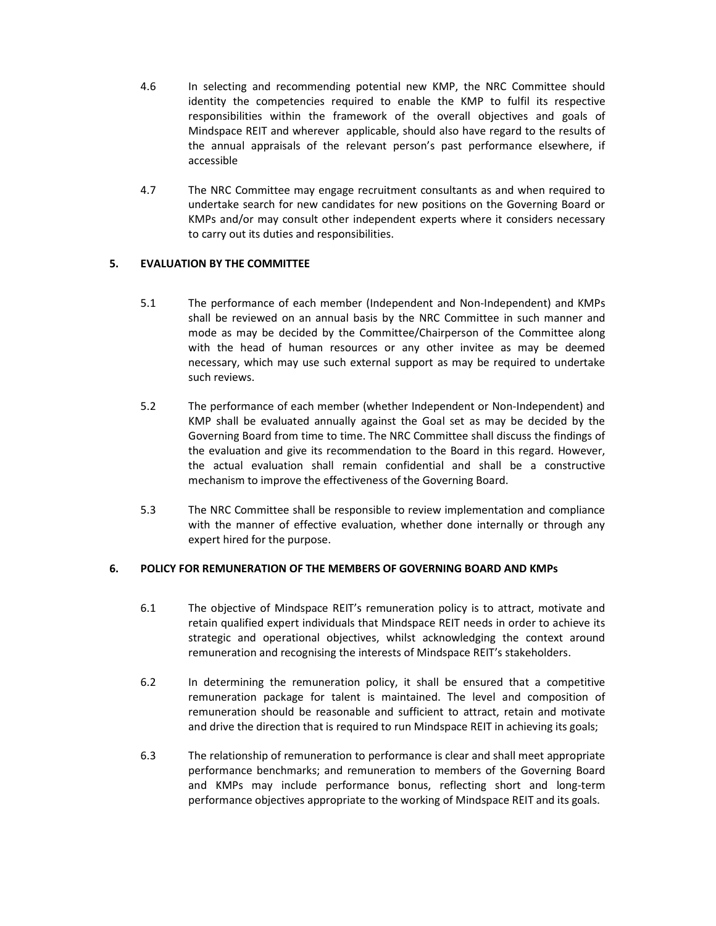- 4.6 In selecting and recommending potential new KMP, the NRC Committee should identity the competencies required to enable the KMP to fulfil its respective responsibilities within the framework of the overall objectives and goals of Mindspace REIT and wherever applicable, should also have regard to the results of the annual appraisals of the relevant person's past performance elsewhere, if accessible
- 4.7 The NRC Committee may engage recruitment consultants as and when required to undertake search for new candidates for new positions on the Governing Board or KMPs and/or may consult other independent experts where it considers necessary to carry out its duties and responsibilities.

# 5. EVALUATION BY THE COMMITTEE

- 5.1 The performance of each member (Independent and Non-Independent) and KMPs shall be reviewed on an annual basis by the NRC Committee in such manner and mode as may be decided by the Committee/Chairperson of the Committee along with the head of human resources or any other invitee as may be deemed necessary, which may use such external support as may be required to undertake such reviews.
- 5.2 The performance of each member (whether Independent or Non-Independent) and KMP shall be evaluated annually against the Goal set as may be decided by the Governing Board from time to time. The NRC Committee shall discuss the findings of the evaluation and give its recommendation to the Board in this regard. However, the actual evaluation shall remain confidential and shall be a constructive mechanism to improve the effectiveness of the Governing Board.
- 5.3 The NRC Committee shall be responsible to review implementation and compliance with the manner of effective evaluation, whether done internally or through any expert hired for the purpose.

## 6. POLICY FOR REMUNERATION OF THE MEMBERS OF GOVERNING BOARD AND KMPs

- 6.1 The objective of Mindspace REIT's remuneration policy is to attract, motivate and retain qualified expert individuals that Mindspace REIT needs in order to achieve its strategic and operational objectives, whilst acknowledging the context around remuneration and recognising the interests of Mindspace REIT's stakeholders.
- 6.2 In determining the remuneration policy, it shall be ensured that a competitive remuneration package for talent is maintained. The level and composition of remuneration should be reasonable and sufficient to attract, retain and motivate and drive the direction that is required to run Mindspace REIT in achieving its goals;
- 6.3 The relationship of remuneration to performance is clear and shall meet appropriate performance benchmarks; and remuneration to members of the Governing Board and KMPs may include performance bonus, reflecting short and long-term performance objectives appropriate to the working of Mindspace REIT and its goals.